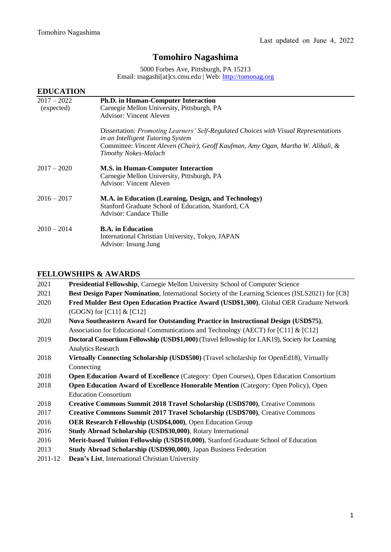## **Tomohiro Nagashima**

5000 Forbes Ave, Pittsburgh, PA 15213 Email: tnagashi[at]cs.cmu.edu | Web[: http://tomonag.org](http://tomonag.org/)

| <b>EDUCATION</b>            |                                                                                                                                                                                                                                              |
|-----------------------------|----------------------------------------------------------------------------------------------------------------------------------------------------------------------------------------------------------------------------------------------|
| $2017 - 2022$<br>(expected) | <b>Ph.D.</b> in Human-Computer Interaction<br>Carnegie Mellon University, Pittsburgh, PA<br><b>Advisor: Vincent Aleven</b>                                                                                                                   |
|                             | Dissertation: Promoting Learners' Self-Regulated Choices with Visual Representations<br>in an Intelligent Tutoring System<br>Committee: Vincent Aleven (Chair), Geoff Kaufman, Amy Ogan, Martha W. Alibali, &<br><b>Timothy Nokes-Malach</b> |
| $2017 - 2020$               | <b>M.S. in Human-Computer Interaction</b><br>Carnegie Mellon University, Pittsburgh, PA<br><b>Advisor: Vincent Aleven</b>                                                                                                                    |
| $2016 - 2017$               | M.A. in Education (Learning, Design, and Technology)<br>Stanford Graduate School of Education, Stanford, CA<br>Advisor: Candace Thille                                                                                                       |
| $2010 - 2014$               | <b>B.A.</b> in Education<br>International Christian University, Tokyo, JAPAN<br>Advisor: Insung Jung                                                                                                                                         |

## **FELLOWSHIPS & AWARDS**

| 2021    | <b>Presidential Fellowship, Carnegie Mellon University School of Computer Science</b>                  |  |  |
|---------|--------------------------------------------------------------------------------------------------------|--|--|
| 2021    | Best Design Paper Nomination, International Society of the Learning Sciences (ISLS2021) for [C8]       |  |  |
| 2020    | Fred Mulder Best Open Education Practice Award (USD\$1,300), Global OER Graduate Network               |  |  |
|         | (GOGN) for $[C11]$ & $[C12]$                                                                           |  |  |
| 2020    | Nova Southeastern Award for Outstanding Practice in Instructional Design (USD\$75),                    |  |  |
|         | Association for Educational Communications and Technology (AECT) for [C11] & [C12]                     |  |  |
| 2019    | <b>Doctoral Consortium Fellowship (USD\$1,000)</b> (Travel fellowship for LAK19), Society for Learning |  |  |
|         | <b>Analytics Research</b>                                                                              |  |  |
| 2018    | Virtually Connecting Scholarship (USD\$500) (Travel scholarship for OpenEd18), Virtually               |  |  |
|         | Connecting                                                                                             |  |  |
| 2018    | Open Education Award of Excellence (Category: Open Courses), Open Education Consortium                 |  |  |
| 2018    | <b>Open Education Award of Excellence Honorable Mention (Category: Open Policy), Open</b>              |  |  |
|         | <b>Education Consortium</b>                                                                            |  |  |
| 2018    | <b>Creative Commons Summit 2018 Travel Scholarship (USD\$700), Creative Commons</b>                    |  |  |
| 2017    | <b>Creative Commons Summit 2017 Travel Scholarship (USD\$700), Creative Commons</b>                    |  |  |
| 2016    | <b>OER Research Fellowship (USD\$4,000), Open Education Group</b>                                      |  |  |
| 2016    | Study Abroad Scholarship (USD\$30,000), Rotary International                                           |  |  |
| 2016    | Merit-based Tuition Fellowship (USD\$10,000), Stanford Graduate School of Education                    |  |  |
| 2013    | Study Abroad Scholarship (USD\$90,000), Japan Business Federation                                      |  |  |
| 2011-12 | Dean's List, International Christian University                                                        |  |  |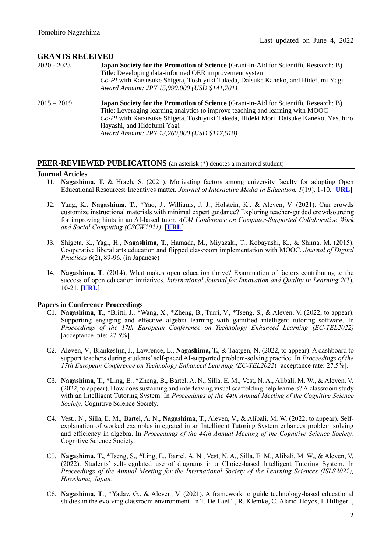## **GRANTS RECEIVED**

| $2020 - 2023$ | <b>Japan Society for the Promotion of Science (Grant-in-Aid for Scientific Research: B)</b><br>Title: Developing data-informed OER improvement system<br>Co-PI with Katsusuke Shigeta, Toshiyuki Takeda, Daisuke Kaneko, and Hidefumi Yagi<br>Award Amount: JPY 15,990,000 (USD \$141,701)                                                            |
|---------------|-------------------------------------------------------------------------------------------------------------------------------------------------------------------------------------------------------------------------------------------------------------------------------------------------------------------------------------------------------|
| $2015 - 2019$ | <b>Japan Society for the Promotion of Science (Grant-in-Aid for Scientific Research: B)</b><br>Title: Leveraging learning analytics to improve teaching and learning with MOOC<br>Co-PI with Katsusuke Shigeta, Toshiyuki Takeda, Hideki Mori, Daisuke Kaneko, Yasuhiro<br>Hayashi, and Hidefumi Yagi<br>Award Amount: JPY 13,260,000 (USD \$117,510) |

## **PEER-REVIEWED PUBLICATIONS** (an asterisk (\*) denotes a mentored student)

## **Journal Articles**

- J1. **Nagashima, T.** & Hrach, S. (2021). Motivating factors among university faculty for adopting Open Educational Resources: Incentives matter. *Journal of Interactive Media in Education, 1*(19), 1-10. [**[URL](https://jime.open.ac.uk/articles/10.5334/jime.678/)**]
- J2. Yang, K., **Nagashima, T**., \*Yao, J., Williams, J. J., Holstein, K., & Aleven, V. (2021). Can crowds customize instructional materials with minimal expert guidance? Exploring teacher-guided crowdsourcing for improving hints in an AI-based tutor. *ACM Conference on Computer-Supported Collaborative Work and Social Computing (CSCW2021)*. [**[URL](https://dl.acm.org/doi/abs/10.1145/3449193)**]
- J3. Shigeta, K., Yagi, H., **Nagashima, T.**, Hamada, M., Miyazaki, T., Kobayashi, K., & Shima, M. (2015). Cooperative liberal arts education and flipped classroom implementation with MOOC. *Journal of Digital Practices 6*(2), 89-96. (in Japanese)
- J4. **Nagashima, T**. (2014). What makes open education thrive? Examination of factors contributing to the success of open education initiatives. *International Journal for Innovation and Quality in Learning 2*(3), 10-21. [**[URL](https://empower.eadtu.eu/images/fields-of-expertise/OERsMOOCs/INNOQUAL-Issue-3-Publication-Sep-2014-FINAL-w-cover.pdf#page=17)**]

## **Papers in Conference Proceedings**

- C1. **Nagashima, T.,** \*Britti, J., \*Wang, X., \*Zheng, B., Turri, V., \*Tseng, S., & Aleven, V. (2022, to appear). Supporting engaging and effective algebra learning with gamified intelligent tutoring software. In *Proceedings of the 17th European Conference on Technology Enhanced Learning (EC-TEL2022)* [acceptance rate: 27.5%]*.*
- C2. Aleven, V., Blankestijn, J., Lawrence, L., **Nagashima, T.**, & Taatgen, N. (2022, to appear). A dashboard to support teachers during students' self-paced AI-supported problem-solving practice. In *Proceedings of the 17th European Conference on Technology Enhanced Learning (EC-TEL2022*) [acceptance rate: 27.5%]*.*
- C3. **Nagashima, T.**, \*Ling, E., \*Zheng, B., Bartel, A. N., Silla, E. M., Vest, N. A., Alibali, M. W., & Aleven, V. (2022, to appear). How does sustaining and interleaving visual scaffolding help learners? A classroom study with an Intelligent Tutoring System. In *Proceedings of the 44th Annual Meeting of the Cognitive Science Society*. Cognitive Science Society.
- C4. Vest., N., Silla, E. M., Bartel, A. N., **Nagashima, T.,** Aleven, V., & Alibali, M. W. (2022, to appear). Selfexplanation of worked examples integrated in an Intelligent Tutoring System enhances problem solving and efficiency in algebra. In *Proceedings of the 44th Annual Meeting of the Cognitive Science Society*. Cognitive Science Society.
- C5. **Nagashima, T.**, \*Tseng, S., \*Ling, E., Bartel, A. N., Vest, N. A., Silla, E. M., Alibali, M. W., & Aleven, V. (2022). Students' self-regulated use of diagrams in a Choice-based Intelligent Tutoring System. In *Proceedings of the Annual Meeting for the International Society of the Learning Sciences (ISLS2022), Hiroshima, Japan.*
- C6. **Nagashima, T**., \*Yadav, G., & Aleven, V. (2021). A framework to guide technology-based educational studies in the evolving classroom environment. In T. De Laet T, R. Klemke, C. Alario-Hoyos, I. Hilliger I,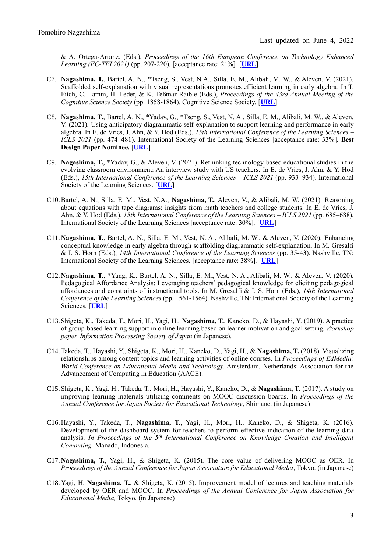& A. Ortega-Arranz. (Eds.), *Proceedings of the 16th European Conference on Technology Enhanced Learning (EC-TEL2021)* (pp. 207-220)*.* [acceptance rate: 21%]*.* [**[URL](https://link.springer.com/chapter/10.1007/978-3-030-86436-1_16)**]

- C7. **Nagashima, T.**, Bartel, A. N., \*Tseng, S., Vest, N.A., Silla, E. M., Alibali, M. W., & Aleven, V. (2021). Scaffolded self-explanation with visual representations promotes efficient learning in early algebra. In T. Fitch, C. Lamm, H. Leder, & K. Teßmar-Raible (Eds.), *Proceedings of the 43rd Annual Meeting of the Cognitive Science Society* (pp. 1858-1864). Cognitive Science Society. [**[URL](https://escholarship.org/uc/item/17q6g4db)**]
- C8. **Nagashima, T.**, Bartel, A. N., \*Yadav, G., \*Tseng, S., Vest, N. A., Silla, E. M., Alibali, M. W., & Aleven, V. (2021). Using anticipatory diagrammatic self-explanation to support learning and performance in early algebra. In E. de Vries, J. Ahn, & Y. Hod (Eds.), *15th International Conference of the Learning Sciences – ICLS 2021* (pp. 474–481). International Society of the Learning Sciences [acceptance rate: 33%]*.* **Best Design Paper Nominee.** [**[URL](https://repository.isls.org/handle/1/7505)**]
- C9. **Nagashima, T.**, \*Yadav, G., & Aleven, V. (2021). Rethinking technology-based educational studies in the evolving classroom environment: An interview study with US teachers. In E. de Vries, J. Ahn, & Y. Hod (Eds.), *15th International Conference of the Learning Sciences – ICLS 2021* (pp. 933–934). International Society of the Learning Sciences. [**[URL](https://repository.isls.org/handle/1/7628)**]
- C10.Bartel, A. N., Silla, E. M., Vest, N.A., **Nagashima, T.**, Aleven, V., & Alibali, M. W. (2021). Reasoning about equations with tape diagrams: insights from math teachers and college students. In E. de Vries, J. Ahn, & Y. Hod (Eds.), *15th International Conference of the Learning Sciences – ICLS 2021* (pp. 685–688). International Society of the Learning Sciences [acceptance rate: 30%]*.* [**[URL](https://repository.isls.org/handle/1/7557)**]
- C11.**Nagashima, T.**, Bartel, A. N., Silla, E. M., Vest, N. A., Alibali, M. W., & Aleven, V. (2020). Enhancing conceptual knowledge in early algebra through scaffolding diagrammatic self-explanation. In M. Gresalfi & I. S. Horn (Eds.), *14th International Conference of the Learning Sciences* (pp. 35-43). Nashville, TN: International Society of the Learning Sciences. [acceptance rate: 38%]*.* [**[URL](https://repository.isls.org/handle/1/6657)**]
- C12.**Nagashima, T.**, \*Yang, K., Bartel, A. N., Silla, E. M., Vest, N. A., Alibali, M. W., & Aleven, V. (2020). Pedagogical Affordance Analysis: Leveraging teachers' pedagogical knowledge for eliciting pedagogical affordances and constraints of instructional tools. In M. Gresalfi & I. S. Horn (Eds.), *14th International Conference of the Learning Sciences* (pp. 1561-1564). Nashville, TN: International Society of the Learning Sciences. [**[URL](https://repository.isls.org/handle/1/6366)**]
- C13.Shigeta, K., Takeda, T., Mori, H., Yagi, H., **Nagashima, T.**, Kaneko, D., & Hayashi, Y. (2019). A practice of group-based learning support in online learning based on learner motivation and goal setting. *Workshop paper, Information Processing Society of Japan* (in Japanese).
- C14.Takeda, T., Hayashi, Y., Shigeta, K., Mori, H., Kaneko, D., Yagi, H., & **Nagashima, T.** (2018). Visualizing relationships among content topics and learning activities of online courses. In *Proceedings of EdMedia: World Conference on Educational Media and Technology*. Amsterdam, Netherlands: Association for the Advancement of Computing in Education (AACE).
- C15.Shigeta, K., Yagi, H., Takeda, T., Mori, H., Hayashi, Y., Kaneko, D., & **Nagashima, T.** (2017). A study on improving learning materials utilizing comments on MOOC discussion boards. In *Proceedings of the Annual Conference for Japan Society for Educational Technology*, Shimane. (in Japanese)
- C16.Hayashi, Y., Takeda, T., **Nagashima, T.**, Yagi, H., Mori, H., Kaneko, D., & Shigeta, K. (2016). Development of the dashboard system for teachers to perform effective indication of the learning data analysis. *In Proceedings of the 5th International Conference on Knowledge Creation and Intelligent Computing.* Manado, Indonesia.
- C17.**Nagashima, T.**, Yagi, H., & Shigeta, K. (2015). The core value of delivering MOOC as OER. In *Proceedings of the Annual Conference for Japan Association for Educational Media*, Tokyo. (in Japanese)
- C18.Yagi, H. **Nagashima, T.**, & Shigeta, K. (2015). Improvement model of lectures and teaching materials developed by OER and MOOC. In *Proceedings of the Annual Conference for Japan Association for Educational Media,* Tokyo. (in Japanese)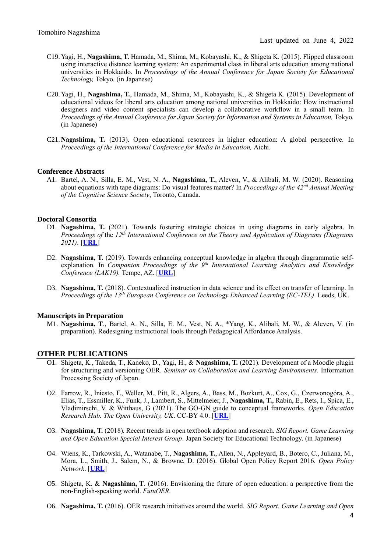- C19.Yagi, H., **Nagashima, T.** Hamada, M., Shima, M., Kobayashi, K., & Shigeta K. (2015). Flipped classroom using interactive distance learning system: An experimental class in liberal arts education among national universities in Hokkaido. In *Proceedings of the Annual Conference for Japan Society for Educational Technology,* Tokyo. (in Japanese)
- C20.Yagi, H., **Nagashima, T.**, Hamada, M., Shima, M., Kobayashi, K., & Shigeta K. (2015). Development of educational videos for liberal arts education among national universities in Hokkaido: How instructional designers and video content specialists can develop a collaborative workflow in a small team. In *Proceedings of the Annual Conference for Japan Society for Information and Systems in Education,* Tokyo. (in Japanese)
- C21.**Nagashima, T.** (2013). Open educational resources in higher education: A global perspective. In *Proceedings of the International Conference for Media in Education,* Aichi.

## **Conference Abstracts**

A1. Bartel, A. N., Silla, E. M., Vest, N. A., **Nagashima, T.**, Aleven, V., & Alibali, M. W. (2020). Reasoning about equations with tape diagrams: Do visual features matter? In *Proceedings of the 42nd Annual Meeting of the Cognitive Science Society*, Toronto, Canada.

### **Doctoral Consortia**

- D1. **Nagashima, T.** (2021). Towards fostering strategic choices in using diagrams in early algebra. In *Proceedings of* the *12th International Conference on the Theory and Application of Diagrams (Diagrams 2021)*. [**[URL](http://www.diagrams-conference.org/2021/wp-content/uploads/2021/09/Nagashima.pdf)**]
- D2. **Nagashima, T.** (2019). Towards enhancing conceptual knowledge in algebra through diagrammatic selfexplanation. In *Companion Proceedings of the 9th International Learning Analytics and Knowledge Conference (LAK19).* Tempe, AZ. [**[URL](https://tomonag.org/wp-content/uploads/2020/07/LAK_DC_final.pdf)**]
- D3. **Nagashima, T.** (2018). Contextualized instruction in data science and its effect on transfer of learning. In *Proceedings of the 13th European Conference on Technology Enhanced Learning (EC-TEL)*. Leeds, UK.

### **Manuscripts in Preparation**

M1. **Nagashima, T**., Bartel, A. N., Silla, E. M., Vest, N. A., \*Yang, K., Alibali, M. W., & Aleven, V. (in preparation). Redesigning instructional tools through Pedagogical Affordance Analysis.

## **OTHER PUBLICATIONS**

- O1. Shigeta, K., Takeda, T., Kaneko, D., Yagi, H., & **Nagashima, T.** (2021). Development of a Moodle plugin for structuring and versioning OER. *Seminar on Collaboration and Learning Environments*. Information Processing Society of Japan.
- O2. Farrow, R., Iniesto, F., Weller, M., Pitt, R., Algers, A., Bass, M., Bozkurt, A., Cox, G., Czerwonogóra, A., Elias, T., Essmiller, K., Funk, J., Lambert, S., Mittelmeier, J., **Nagashima, T.**, Rabin, E., Rets, I., Spica, E., Vladimirschi, V. & Witthaus, G (2021). The GO-GN guide to conceptual frameworks. *Open Education Research Hub. The Open University, UK*. CC-BY 4.0. [**[URL](https://eprints.lancs.ac.uk/id/eprint/159896/)**]
- O3. **Nagashima, T.** (2018). Recent trends in open textbook adoption and research. *SIG Report. Game Learning and Open Education Special Interest Group*. Japan Society for Educational Technology. (in Japanese)
- O4. Wiens, K., Tarkowski, A., Watanabe, T., **Nagashima, T.**, Allen, N., Appleyard, B., Botero, C., Juliana, M., Mora, L., Smith, J., Salem, N., & Browne, D. (2016). Global Open Policy Report 2016. *Open Policy Network*. [**[URL](https://creativecommons.org/wp-content/uploads/2016/12/StateofOpenPolicyFullReport_FINAL-1-1-1-1.pdf)**]
- O5. Shigeta, K. & **Nagashima, T**. (2016). Envisioning the future of open education: a perspective from the non-English-speaking world. *FutuOER.*
- O6. **Nagashima, T.** (2016). OER research initiatives around the world. *SIG Report. Game Learning and Open*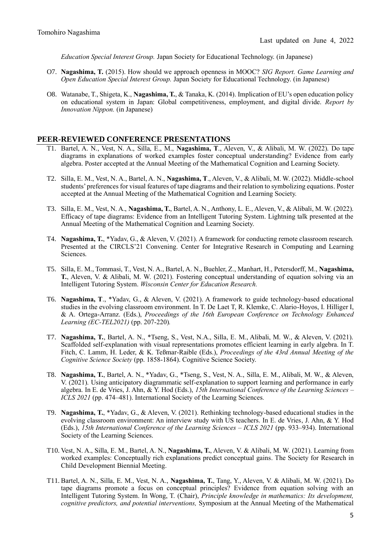*Education Special Interest Group.* Japan Society for Educational Technology. (in Japanese)

- O7. **Nagashima, T.** (2015). How should we approach openness in MOOC? *SIG Report. Game Learning and Open Education Special Interest Group.* Japan Society for Educational Technology. (in Japanese)
- O8. Watanabe, T., Shigeta, K., **Nagashima, T.**, & Tanaka, K. (2014). Implication of EU's open education policy on educational system in Japan: Global competitiveness, employment, and digital divide. *Report by Innovation Nippon.* (in Japanese)

## **PEER-REVIEWED CONFERENCE PRESENTATIONS**

- T1. Bartel, A. N., Vest, N. A., Silla, E., M., **Nagashima, T**., Aleven, V., & Alibali, M. W. (2022). Do tape diagrams in explanations of worked examples foster conceptual understanding? Evidence from early algebra. Poster accepted at the Annual Meeting of the Mathematical Cognition and Learning Society.
- T2. Silla, E. M., Vest, N. A., Bartel, A. N., **Nagashima, T**., Aleven, V., & Alibali, M. W. (2022). Middle-school students' preferences for visual features of tape diagrams and their relation to symbolizing equations. Poster accepted at the Annual Meeting of the Mathematical Cognition and Learning Society.
- T3. Silla, E. M., Vest, N. A., **Nagashima, T.**, Bartel, A. N., Anthony, L. E., Aleven, V., & Alibali, M. W. (2022). Efficacy of tape diagrams: Evidence from an Intelligent Tutoring System. Lightning talk presented at the Annual Meeting of the Mathematical Cognition and Learning Society.
- T4. **Nagashima, T.**, \*Yadav, G., & Aleven, V. (2021). A framework for conducting remote classroom research. Presented at the CIRCLS'21 Convening. Center for Integrative Research in Computing and Learning Sciences.
- T5. Silla, E. M., Tommasi, T., Vest, N. A., Bartel, A. N., Buehler, Z., Manhart, H., Petersdorff, M., **Nagashima, T.**, Aleven, V. & Alibali, M. W. (2021). Fostering conceptual understanding of equation solving via an Intelligent Tutoring System. *Wisconsin Center for Education Research.*
- T6. **Nagashima, T**., \*Yadav, G., & Aleven, V. (2021). A framework to guide technology-based educational studies in the evolving classroom environment. In T. De Laet T, R. Klemke, C. Alario-Hoyos, I. Hilliger I, & A. Ortega-Arranz. (Eds.), *Proceedings of the 16th European Conference on Technology Enhanced Learning (EC-TEL2021)* (pp. 207-220)*.*
- T7. **Nagashima, T.**, Bartel, A. N., \*Tseng, S., Vest, N.A., Silla, E. M., Alibali, M. W., & Aleven, V. (2021). Scaffolded self-explanation with visual representations promotes efficient learning in early algebra. In T. Fitch, C. Lamm, H. Leder, & K. Teßmar-Raible (Eds.), *Proceedings of the 43rd Annual Meeting of the Cognitive Science Society* (pp. 1858-1864). Cognitive Science Society.
- T8. **Nagashima, T.**, Bartel, A. N., \*Yadav, G., \*Tseng, S., Vest, N. A., Silla, E. M., Alibali, M. W., & Aleven, V. (2021). Using anticipatory diagrammatic self-explanation to support learning and performance in early algebra. In E. de Vries, J. Ahn, & Y. Hod (Eds.), *15th International Conference of the Learning Sciences – ICLS 2021* (pp. 474–481). International Society of the Learning Sciences*.*
- T9. **Nagashima, T.**, \*Yadav, G., & Aleven, V. (2021). Rethinking technology-based educational studies in the evolving classroom environment: An interview study with US teachers. In E. de Vries, J. Ahn, & Y. Hod (Eds.), *15th International Conference of the Learning Sciences – ICLS 2021* (pp. 933–934). International Society of the Learning Sciences.
- T10. Vest, N. A., Silla, E. M., Bartel, A. N., **Nagashima, T.**, Aleven, V. & Alibali, M. W. (2021). Learning from worked examples: Conceptually rich explanations predict conceptual gains. The Society for Research in Child Development Biennial Meeting.
- T11. Bartel, A. N., Silla, E. M., Vest, N. A., **Nagashima, T.**, Tang, Y., Aleven, V. & Alibali, M. W. (2021). Do tape diagrams promote a focus on conceptual principles? Evidence from equation solving with an Intelligent Tutoring System. In Wong, T. (Chair), *Principle knowledge in mathematics: Its development, cognitive predictors, and potential interventions,* Symposium at the Annual Meeting of the Mathematical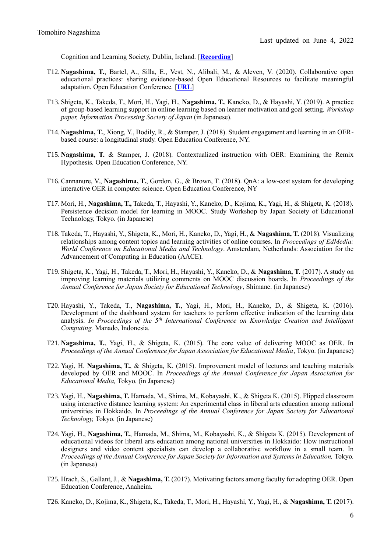Cognition and Learning Society, Dublin, Ireland. [**[Recording](https://www.youtube.com/watch?v=_CUuA9KoqKc)**]

- T12. **Nagashima, T.**, Bartel, A., Silla, E., Vest, N., Alibali, M., & Aleven, V. (2020). Collaborative open educational practices: sharing evidence-based Open Educational Resources to facilitate meaningful adaptation. Open Education Conference. [**[URL](https://tomonag.org/opened20/)**]
- T13. Shigeta, K., Takeda, T., Mori, H., Yagi, H., **Nagashima, T.**, Kaneko, D., & Hayashi, Y. (2019). A practice of group-based learning support in online learning based on learner motivation and goal setting. *Workshop paper, Information Processing Society of Japan* (in Japanese).
- T14. **Nagashima, T.**, Xiong, Y., Bodily, R., & Stamper, J. (2018). Student engagement and learning in an OERbased course: a longitudinal study. Open Education Conference, NY.
- T15. **Nagashima, T.** & Stamper, J. (2018). Contextualized instruction with OER: Examining the Remix Hypothesis. Open Education Conference, NY.
- T16. Cannanure, V., **Nagashima, T.**, Gordon, G., & Brown, T. (2018). QnA: a low-cost system for developing interactive OER in computer science. Open Education Conference, NY
- T17. Mori, H., **Nagashima, T.,** Takeda, T., Hayashi, Y., Kaneko, D., Kojima, K., Yagi, H., & Shigeta, K. (2018). Persistence decision model for learning in MOOC. Study Workshop by Japan Society of Educational Technology, Tokyo. (in Japanese)
- T18. Takeda, T., Hayashi, Y., Shigeta, K., Mori, H., Kaneko, D., Yagi, H., & **Nagashima, T.** (2018). Visualizing relationships among content topics and learning activities of online courses. In *Proceedings of EdMedia: World Conference on Educational Media and Technology*. Amsterdam, Netherlands: Association for the Advancement of Computing in Education (AACE).
- T19. Shigeta, K., Yagi, H., Takeda, T., Mori, H., Hayashi, Y., Kaneko, D., & **Nagashima, T.** (2017). A study on improving learning materials utilizing comments on MOOC discussion boards. In *Proceedings of the Annual Conference for Japan Society for Educational Technology*, Shimane. (in Japanese)
- T20. Hayashi, Y., Takeda, T., **Nagashima, T.**, Yagi, H., Mori, H., Kaneko, D., & Shigeta, K. (2016). Development of the dashboard system for teachers to perform effective indication of the learning data analysis. *In Proceedings of the 5th International Conference on Knowledge Creation and Intelligent Computing.* Manado, Indonesia.
- T21. **Nagashima, T.**, Yagi, H., & Shigeta, K. (2015). The core value of delivering MOOC as OER. In *Proceedings of the Annual Conference for Japan Association for Educational Media*, Tokyo. (in Japanese)
- T22. Yagi, H. **Nagashima, T.**, & Shigeta, K. (2015). Improvement model of lectures and teaching materials developed by OER and MOOC. In *Proceedings of the Annual Conference for Japan Association for Educational Media,* Tokyo. (in Japanese)
- T23. Yagi, H., **Nagashima, T.** Hamada, M., Shima, M., Kobayashi, K., & Shigeta K. (2015). Flipped classroom using interactive distance learning system: An experimental class in liberal arts education among national universities in Hokkaido. In *Proceedings of the Annual Conference for Japan Society for Educational Technology,* Tokyo. (in Japanese)
- T24. Yagi, H., **Nagashima, T.**, Hamada, M., Shima, M., Kobayashi, K., & Shigeta K. (2015). Development of educational videos for liberal arts education among national universities in Hokkaido: How instructional designers and video content specialists can develop a collaborative workflow in a small team. In *Proceedings of the Annual Conference for Japan Society for Information and Systems in Education,* Tokyo. (in Japanese)
- T25. Hrach, S., Gallant, J., & **Nagashima, T.** (2017). Motivating factors among faculty for adopting OER. Open Education Conference, Anaheim.
- T26. Kaneko, D., Kojima, K., Shigeta, K., Takeda, T., Mori, H., Hayashi, Y., Yagi, H., & **Nagashima, T.** (2017).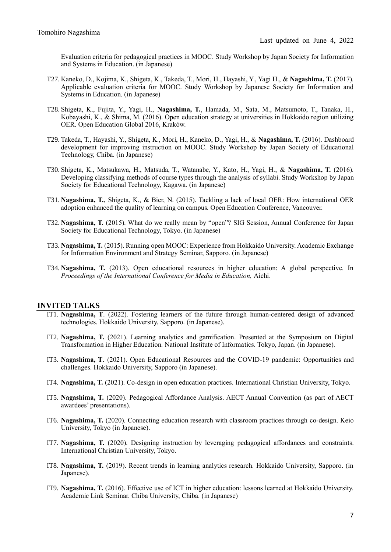Evaluation criteria for pedagogical practices in MOOC. Study Workshop by Japan Society for Information and Systems in Education. (in Japanese)

- T27. Kaneko, D., Kojima, K., Shigeta, K., Takeda, T., Mori, H., Hayashi, Y., Yagi H., & **Nagashima, T.** (2017). Applicable evaluation criteria for MOOC. Study Workshop by Japanese Society for Information and Systems in Education. (in Japanese)
- T28. Shigeta, K., Fujita, Y., Yagi, H., **Nagashima, T.**, Hamada, M., Sata, M., Matsumoto, T., Tanaka, H., Kobayashi, K., & Shima, M. (2016). Open education strategy at universities in Hokkaido region utilizing OER. Open Education Global 2016, Kraków.
- T29. Takeda, T., Hayashi, Y., Shigeta, K., Mori, H., Kaneko, D., Yagi, H., & **Nagashima, T.** (2016). Dashboard development for improving instruction on MOOC. Study Workshop by Japan Society of Educational Technology, Chiba. (in Japanese)
- T30. Shigeta, K., Matsukawa, H., Matsuda, T., Watanabe, Y., Kato, H., Yagi, H., & **Nagashima, T.** (2016). Developing classifying methods of course types through the analysis of syllabi. Study Workshop by Japan Society for Educational Technology, Kagawa. (in Japanese)
- T31. **Nagashima, T.**, Shigeta, K., & Bier, N. (2015). Tackling a lack of local OER: How international OER adoption enhanced the quality of learning on campus. Open Education Conference, Vancouver.
- T32. **Nagashima, T.** (2015). What do we really mean by "open"? SIG Session, Annual Conference for Japan Society for Educational Technology, Tokyo. (in Japanese)
- T33. **Nagashima, T.** (2015). Running open MOOC: Experience from Hokkaido University. Academic Exchange for Information Environment and Strategy Seminar, Sapporo. (in Japanese)
- T34. **Nagashima, T.** (2013). Open educational resources in higher education: A global perspective. In *Proceedings of the International Conference for Media in Education,* Aichi.

## **INVITED TALKS**

- IT1. **Nagashima, T**. (2022). Fostering learners of the future through human-centered design of advanced technologies. Hokkaido University, Sapporo. (in Japanese).
- IT2. **Nagashima, T.** (2021). Learning analytics and gamification. Presented at the Symposium on Digital Transformation in Higher Education. National Institute of Informatics. Tokyo, Japan. (in Japanese).
- IT3. **Nagashima, T**. (2021). Open Educational Resources and the COVID-19 pandemic: Opportunities and challenges. Hokkaido University, Sapporo (in Japanese).
- IT4. **Nagashima, T.** (2021). Co-design in open education practices. International Christian University, Tokyo.
- IT5. **Nagashima, T.** (2020). Pedagogical Affordance Analysis. AECT Annual Convention (as part of AECT awardees' presentations).
- IT6. **Nagashima, T.** (2020). Connecting education research with classroom practices through co-design. Keio University, Tokyo (in Japanese).
- IT7. **Nagashima, T.** (2020). Designing instruction by leveraging pedagogical affordances and constraints. International Christian University, Tokyo.
- IT8. **Nagashima, T.** (2019). Recent trends in learning analytics research. Hokkaido University, Sapporo. (in Japanese).
- IT9. **Nagashima, T.** (2016). Effective use of ICT in higher education: lessons learned at Hokkaido University. Academic Link Seminar. Chiba University, Chiba. (in Japanese)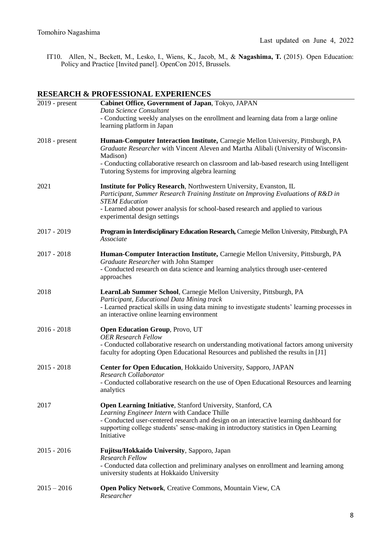IT10. Allen, N., Beckett, M., Lesko, I., Wiens, K., Jacob, M., & **Nagashima, T.** (2015). Open Education: Policy and Practice [Invited panel]. OpenCon 2015, Brussels.

## **RESEARCH & PROFESSIONAL EXPERIENCES**

| $2019$ - present | Cabinet Office, Government of Japan, Tokyo, JAPAN                                                                                                                                                                                                                      |  |
|------------------|------------------------------------------------------------------------------------------------------------------------------------------------------------------------------------------------------------------------------------------------------------------------|--|
|                  | Data Science Consultant                                                                                                                                                                                                                                                |  |
|                  | - Conducting weekly analyses on the enrollment and learning data from a large online<br>learning platform in Japan                                                                                                                                                     |  |
| $2018$ - present | Human-Computer Interaction Institute, Carnegie Mellon University, Pittsburgh, PA<br>Graduate Researcher with Vincent Aleven and Martha Alibali (University of Wisconsin-<br>Madison)                                                                                   |  |
|                  | - Conducting collaborative research on classroom and lab-based research using Intelligent<br>Tutoring Systems for improving algebra learning                                                                                                                           |  |
| 2021             | Institute for Policy Research, Northwestern University, Evanston, IL<br>Participant, Summer Research Training Institute on Improving Evaluations of R&D in<br><b>STEM Education</b><br>- Learned about power analysis for school-based research and applied to various |  |
|                  | experimental design settings                                                                                                                                                                                                                                           |  |
| $2017 - 2019$    | Program in Interdisciplinary Education Research, Carnegie Mellon University, Pittsburgh, PA<br>Associate                                                                                                                                                               |  |
| $2017 - 2018$    | Human-Computer Interaction Institute, Carnegie Mellon University, Pittsburgh, PA                                                                                                                                                                                       |  |
|                  | Graduate Researcher with John Stamper<br>- Conducted research on data science and learning analytics through user-centered<br>approaches                                                                                                                               |  |
| 2018             | LearnLab Summer School, Carnegie Mellon University, Pittsburgh, PA                                                                                                                                                                                                     |  |
|                  | Participant, Educational Data Mining track<br>- Learned practical skills in using data mining to investigate students' learning processes in<br>an interactive online learning environment                                                                             |  |
| $2016 - 2018$    | <b>Open Education Group, Provo, UT</b>                                                                                                                                                                                                                                 |  |
|                  | <b>OER Research Fellow</b><br>- Conducted collaborative research on understanding motivational factors among university<br>faculty for adopting Open Educational Resources and published the results in [J1]                                                           |  |
| $2015 - 2018$    | Center for Open Education, Hokkaido University, Sapporo, JAPAN                                                                                                                                                                                                         |  |
|                  | Research Collaborator<br>- Conducted collaborative research on the use of Open Educational Resources and learning<br>analytics                                                                                                                                         |  |
| 2017             | Open Learning Initiative, Stanford University, Stanford, CA                                                                                                                                                                                                            |  |
|                  | Learning Engineer Intern with Candace Thille<br>- Conducted user-centered research and design on an interactive learning dashboard for<br>supporting college students' sense-making in introductory statistics in Open Learning<br>Initiative                          |  |
| $2015 - 2016$    | Fujitsu/Hokkaido University, Sapporo, Japan                                                                                                                                                                                                                            |  |
|                  | <b>Research Fellow</b><br>- Conducted data collection and preliminary analyses on enrollment and learning among<br>university students at Hokkaido University                                                                                                          |  |
| $2015 - 2016$    | Open Policy Network, Creative Commons, Mountain View, CA<br>Researcher                                                                                                                                                                                                 |  |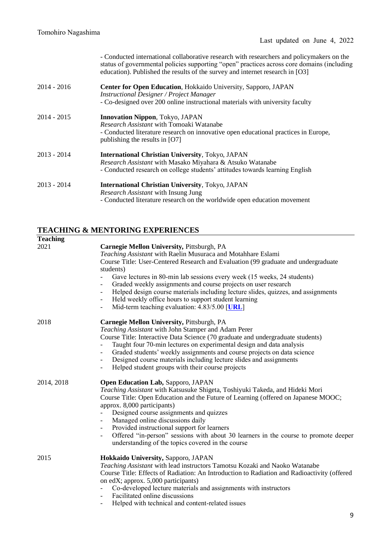*-* Conducted international collaborative research with researchers and policymakers on the status of governmental policies supporting "open" practices across core domains (including education). Published the results of the survey and internet research in [O3]

| 2014 - 2016 | <b>Center for Open Education, Hokkaido University, Sapporo, JAPAN</b><br><b>Instructional Designer / Project Manager</b><br>- Co-designed over 200 online instructional materials with university faculty            |
|-------------|----------------------------------------------------------------------------------------------------------------------------------------------------------------------------------------------------------------------|
| 2014 - 2015 | <b>Innovation Nippon, Tokyo, JAPAN</b><br><i>Research Assistant</i> with Tomoaki Watanabe<br>- Conducted literature research on innovative open educational practices in Europe,<br>publishing the results in $[O7]$ |
| 2013 - 2014 | <b>International Christian University, Tokyo, JAPAN</b><br>Research Assistant with Masako Miyahara & Atsuko Watanabe<br>- Conducted research on college students' attitudes towards learning English                 |
| 2013 - 2014 | <b>International Christian University, Tokyo, JAPAN</b><br><i>Research Assistant</i> with Insung Jung<br>- Conducted literature research on the worldwide open education movement                                    |

## **TEACHING & MENTORING EXPERIENCES**

| <b>Teaching</b> |                                                                                                                                                                                                                                                                                                                                                                                                                                                                                                                                                                                                                                       |
|-----------------|---------------------------------------------------------------------------------------------------------------------------------------------------------------------------------------------------------------------------------------------------------------------------------------------------------------------------------------------------------------------------------------------------------------------------------------------------------------------------------------------------------------------------------------------------------------------------------------------------------------------------------------|
| 2021            | Carnegie Mellon University, Pittsburgh, PA<br>Teaching Assistant with Raelin Musuraca and Motahhare Eslami<br>Course Title: User-Centered Research and Evaluation (99 graduate and undergraduate<br>students)<br>Gave lectures in 80-min lab sessions every week (15 weeks, 24 students)<br>Graded weekly assignments and course projects on user research<br>Helped design course materials including lecture slides, quizzes, and assignments<br>$\overline{\phantom{a}}$<br>Held weekly office hours to support student learning<br>$\qquad \qquad -$<br>Mid-term teaching evaluation: 4.83/5.00 [URL]<br>$\overline{\phantom{a}}$ |
| 2018            | Carnegie Mellon University, Pittsburgh, PA<br>Teaching Assistant with John Stamper and Adam Perer<br>Course Title: Interactive Data Science (70 graduate and undergraduate students)<br>Taught four 70-min lectures on experimental design and data analysis<br>Graded students' weekly assignments and course projects on data science<br>Designed course materials including lecture slides and assignments<br>Helped student groups with their course projects                                                                                                                                                                     |
| 2014, 2018      | Open Education Lab, Sapporo, JAPAN<br>Teaching Assistant with Katsusuke Shigeta, Toshiyuki Takeda, and Hideki Mori<br>Course Title: Open Education and the Future of Learning (offered on Japanese MOOC;<br>approx. 8,000 participants)<br>Designed course assignments and quizzes<br>Managed online discussions daily<br>Provided instructional support for learners<br>$\overline{\phantom{a}}$<br>Offered "in-person" sessions with about 30 learners in the course to promote deeper<br>understanding of the topics covered in the course                                                                                         |
| 2015            | Hokkaido University, Sapporo, JAPAN<br>Teaching Assistant with lead instructors Tamotsu Kozaki and Naoko Watanabe<br>Course Title: Effects of Radiation: An Introduction to Radiation and Radioactivity (offered<br>on edX; approx. 5,000 participants)<br>Co-developed lecture materials and assignments with instructors<br>Facilitated online discussions                                                                                                                                                                                                                                                                          |

- Helped with technical and content-related issues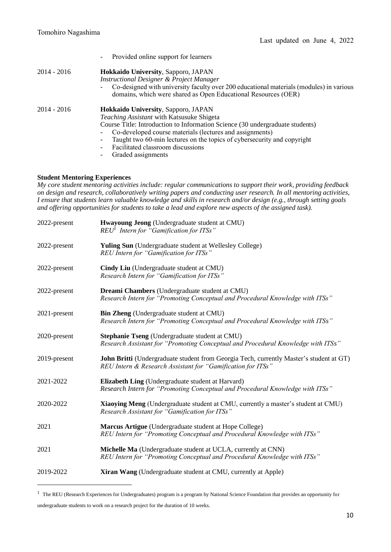|               | Provided online support for learners                                                                                                                      |
|---------------|-----------------------------------------------------------------------------------------------------------------------------------------------------------|
| $2014 - 2016$ | Hokkaido University, Sapporo, JAPAN<br>Instructional Designer & Project Manager                                                                           |
|               | Co-designed with university faculty over 200 educational materials (modules) in various<br>domains, which were shared as Open Educational Resources (OER) |
| $2014 - 2016$ | Hokkaido University, Sapporo, JAPAN                                                                                                                       |
|               | <i>Teaching Assistant</i> with Katsusuke Shigeta                                                                                                          |
|               | Course Title: Introduction to Information Science (30 undergraduate students)                                                                             |
|               | Co-developed course materials (lectures and assignments)                                                                                                  |
|               | Taught two 60-min lectures on the topics of cybersecurity and copyright                                                                                   |
|               | Facilitated classroom discussions                                                                                                                         |
|               |                                                                                                                                                           |

- Graded assignments

## **Student Mentoring Experiences**

*My core student mentoring activities include: regular communications to support their work, providing feedback on design and research, collaboratively writing papers and conducting user research. In all mentoring activities, I ensure that students learn valuable knowledge and skills in research and/or design (e.g., through setting goals and offering opportunities for students to take a lead and explore new aspects of the assigned task).*

| 2022-present | Hwayoung Jeong (Undergraduate student at CMU)<br>REU <sup>1</sup> Intern for "Gamification for ITSs"                                                   |  |
|--------------|--------------------------------------------------------------------------------------------------------------------------------------------------------|--|
| 2022-present | <b>Yuling Sun</b> (Undergraduate student at Wellesley College)<br>REU Intern for "Gamification for ITSs"                                               |  |
| 2022-present | Cindy Liu (Undergraduate student at CMU)<br>Research Intern for "Gamification for ITSs"                                                                |  |
| 2022-present | <b>Dreami Chambers</b> (Undergraduate student at CMU)<br>Research Intern for "Promoting Conceptual and Procedural Knowledge with ITSs"                 |  |
| 2021-present | <b>Bin Zheng</b> (Undergraduate student at CMU)<br>Research Intern for "Promoting Conceptual and Procedural Knowledge with ITSs"                       |  |
| 2020-present | Stephanie Tseng (Undergraduate student at CMU)<br>Research Assistant for "Promoting Conceptual and Procedural Knowledge with ITSs"                     |  |
| 2019-present | John Britti (Undergraduate student from Georgia Tech, currently Master's student at GT)<br>REU Intern & Research Assistant for "Gamification for ITSs" |  |
| 2021-2022    | Elizabeth Ling (Undergraduate student at Harvard)<br>Research Intern for "Promoting Conceptual and Procedural Knowledge with ITSs"                     |  |
| 2020-2022    | Xiaoying Meng (Undergraduate student at CMU, currently a master's student at CMU)<br>Research Assistant for "Gamification for ITSs"                    |  |
| 2021         | Marcus Artigue (Undergraduate student at Hope College)<br>REU Intern for "Promoting Conceptual and Procedural Knowledge with ITSs"                     |  |
| 2021         | Michelle Ma (Undergraduate student at UCLA, currently at CNN)<br>REU Intern for "Promoting Conceptual and Procedural Knowledge with ITSs"              |  |
| 2019-2022    | Xiran Wang (Undergraduate student at CMU, currently at Apple)                                                                                          |  |

<sup>&</sup>lt;sup>1</sup> The REU (Research Experiences for Undergraduates) program is a program by National Science Foundation that provides an opportunity for undergraduate students to work on a research project for the duration of 10 weeks.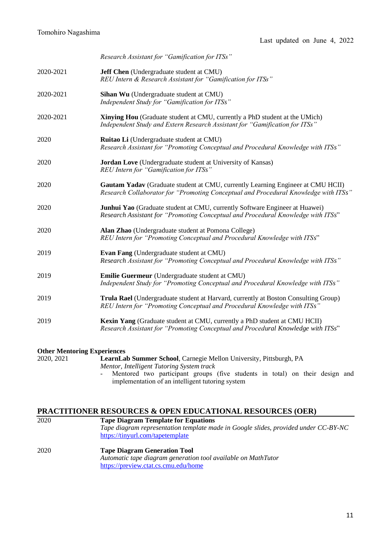|           | Research Assistant for "Gamification for ITSs"                                                                                                                         |  |
|-----------|------------------------------------------------------------------------------------------------------------------------------------------------------------------------|--|
| 2020-2021 | Jeff Chen (Undergraduate student at CMU)<br>REU Intern & Research Assistant for "Gamification for ITSs"                                                                |  |
| 2020-2021 | Sihan Wu (Undergraduate student at CMU)<br>Independent Study for "Gamification for ITSs"                                                                               |  |
| 2020-2021 | <b>Xinying Hou</b> (Graduate student at CMU, currently a PhD student at the UMich)<br>Independent Study and Extern Research Assistant for "Gamification for ITSs"      |  |
| 2020      | Ruitao Li (Undergraduate student at CMU)<br>Research Assistant for "Promoting Conceptual and Procedural Knowledge with ITSs"                                           |  |
| 2020      | Jordan Love (Undergraduate student at University of Kansas)<br>REU Intern for "Gamification for ITSs"                                                                  |  |
| 2020      | Gautam Yadav (Graduate student at CMU, currently Learning Engineer at CMU HCII)<br>Research Collaborator for "Promoting Conceptual and Procedural Knowledge with ITSs" |  |
| 2020      | Junhui Yao (Graduate student at CMU, currently Software Engineer at Huawei)<br>Research Assistant for "Promoting Conceptual and Procedural Knowledge with ITSs"        |  |
| 2020      | Alan Zhao (Undergraduate student at Pomona College)<br>REU Intern for "Promoting Conceptual and Procedural Knowledge with ITSs"                                        |  |
| 2019      | Evan Fang (Undergraduate student at CMU)<br>Research Assistant for "Promoting Conceptual and Procedural Knowledge with ITSs"                                           |  |
| 2019      | Emilie Guermeur (Undergraduate student at CMU)<br>Independent Study for "Promoting Conceptual and Procedural Knowledge with ITSs"                                      |  |
| 2019      | Trula Rael (Undergraduate student at Harvard, currently at Boston Consulting Group)<br>REU Intern for "Promoting Conceptual and Procedural Knowledge with ITSs"        |  |
| 2019      | Kexin Yang (Graduate student at CMU, currently a PhD student at CMU HCII)<br>Research Assistant for "Promoting Conceptual and Procedural Knowledge with ITSs"          |  |
|           |                                                                                                                                                                        |  |

# **Other Mentoring Experiences**<br>2020, 2021 **LearnLa**

LearnLab Summer School, Carnegie Mellon University, Pittsburgh, PA *Mentor, Intelligent Tutoring System track* - Mentored two participant groups (five students in total) on their design and implementation of an intelligent tutoring system

## **PRACTITIONER RESOURCES & OPEN EDUCATIONAL RESOURCES (OER)**

| 2020 | <b>Tape Diagram Template for Equations</b>                                          |
|------|-------------------------------------------------------------------------------------|
|      | Tape diagram representation template made in Google slides, provided under CC-BY-NC |
|      | https://tinyurl.com/tapetemplate                                                    |
| 2020 | <b>Tape Diagram Generation Tool</b>                                                 |
|      | Automatic tape diagram generation tool available on MathTutor                       |
|      | https://preview.ctat.cs.cmu.edu/home                                                |